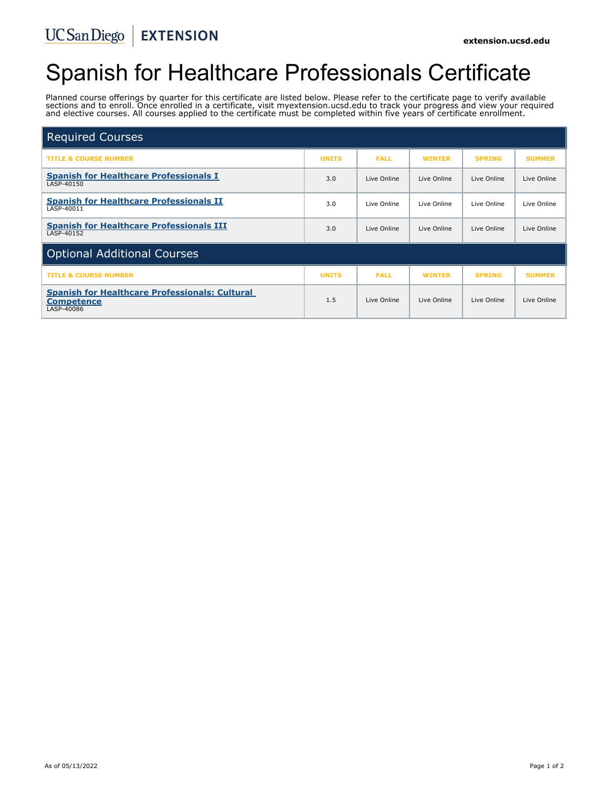# Spanish for Healthcare Professionals Certificate

Planned course offerings by quarter for this certificate are listed below. Please refer to the certificate page to verify available sections and to enroll. Once enrolled in a certificate, visit myextension.ucsd.edu to track your progress and view your required and elective courses. All courses applied to the certificate must be completed within five years of certificate enrollment.

| <b>Required Courses</b>                                                                  |              |             |               |               |               |
|------------------------------------------------------------------------------------------|--------------|-------------|---------------|---------------|---------------|
| <b>TITLE &amp; COURSE NUMBER</b>                                                         | <b>UNITS</b> | <b>FALL</b> | <b>WINTER</b> | <b>SPRING</b> | <b>SUMMER</b> |
| <b>Spanish for Healthcare Professionals I</b><br>LASP-40150                              | 3.0          | Live Online | Live Online   | Live Online   | Live Online   |
| <b>Spanish for Healthcare Professionals II</b><br>LASP-40011                             | 3.0          | Live Online | Live Online   | Live Online   | Live Online   |
| <b>Spanish for Healthcare Professionals III</b><br>LASP-40152                            | 3.0          | Live Online | Live Online   | Live Online   | Live Online   |
| <b>Optional Additional Courses</b>                                                       |              |             |               |               |               |
| <b>TITLE &amp; COURSE NUMBER</b>                                                         | <b>UNITS</b> | <b>FALL</b> | <b>WINTER</b> | <b>SPRING</b> | <b>SUMMER</b> |
| <b>Spanish for Healthcare Professionals: Cultural</b><br><b>Competence</b><br>LASP-40086 | 1.5          | Live Online | Live Online   | Live Online   | Live Online   |